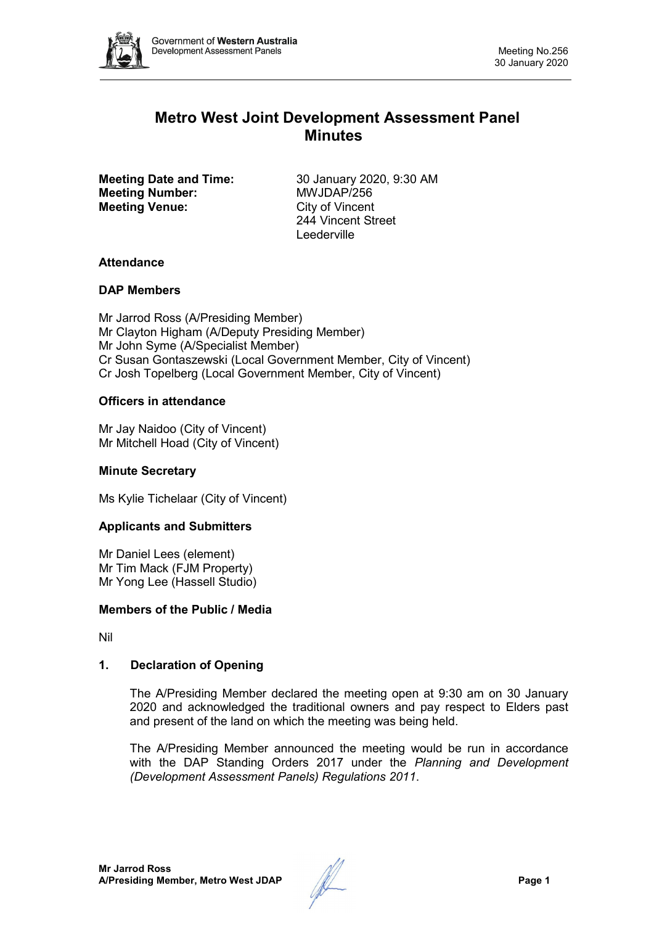

# **Metro West Joint Development Assessment Panel Minutes**

**Meeting Number: Meeting Venue:** City of Vincent

**Meeting Date and Time:** 30 January 2020, 9:30 AM<br> **Meeting Number:** MWJDAP/256 244 Vincent Street Leederville

# **Attendance**

# **DAP Members**

Mr Jarrod Ross (A/Presiding Member) Mr Clayton Higham (A/Deputy Presiding Member) Mr John Syme (A/Specialist Member) Cr Susan Gontaszewski (Local Government Member, City of Vincent) Cr Josh Topelberg (Local Government Member, City of Vincent)

# **Officers in attendance**

Mr Jay Naidoo (City of Vincent) Mr Mitchell Hoad (City of Vincent)

### **Minute Secretary**

Ms Kylie Tichelaar (City of Vincent)

### **Applicants and Submitters**

Mr Daniel Lees (element) Mr Tim Mack (FJM Property) Mr Yong Lee (Hassell Studio)

### **Members of the Public / Media**

Nil

# **1. Declaration of Opening**

The A/Presiding Member declared the meeting open at 9:30 am on 30 January 2020 and acknowledged the traditional owners and pay respect to Elders past and present of the land on which the meeting was being held.

The A/Presiding Member announced the meeting would be run in accordance with the DAP Standing Orders 2017 under the *Planning and Development (Development Assessment Panels) Regulations 2011*.

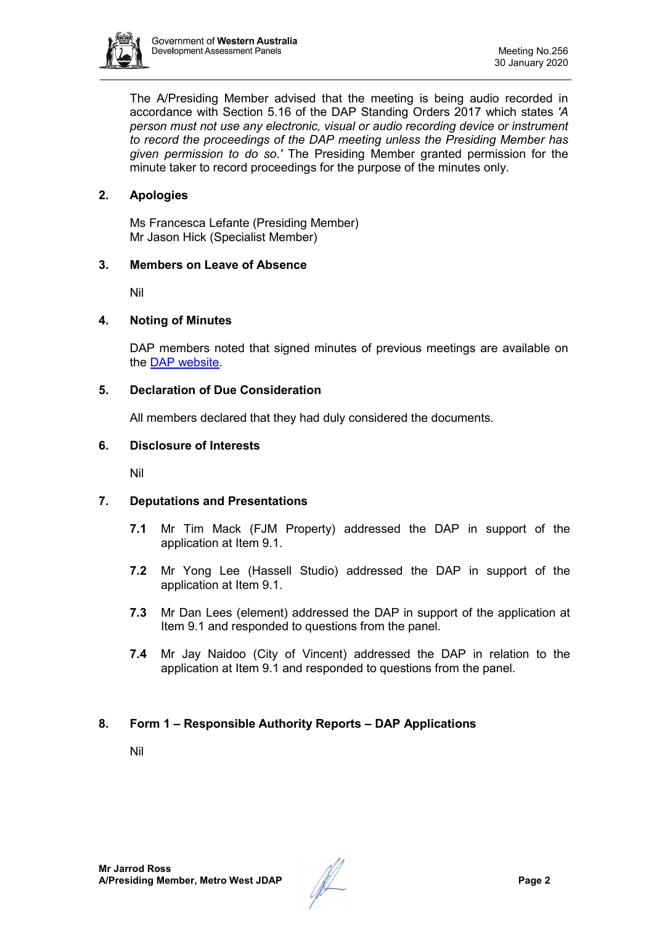

The A/Presiding Member advised that the meeting is being audio recorded in accordance with Section 5.16 of the DAP Standing Orders 2017 which states *'A person must not use any electronic, visual or audio recording device or instrument to record the proceedings of the DAP meeting unless the Presiding Member has given permission to do so.'* The Presiding Member granted permission for the minute taker to record proceedings for the purpose of the minutes only.

# **2. Apologies**

Ms Francesca Lefante (Presiding Member) Mr Jason Hick (Specialist Member)

### **3. Members on Leave of Absence**

Nil

#### **4. Noting of Minutes**

DAP members noted that signed minutes of previous meetings are available on the [DAP website.](https://www.dplh.wa.gov.au/about/development-assessment-panels/daps-agendas-and-minutes)

#### **5. Declaration of Due Consideration**

All members declared that they had duly considered the documents.

#### **6. Disclosure of Interests**

Nil

### **7. Deputations and Presentations**

- **7.1** Mr Tim Mack (FJM Property) addressed the DAP in support of the application at Item 9.1.
- **7.2** Mr Yong Lee (Hassell Studio) addressed the DAP in support of the application at Item 9.1.
- **7.3** Mr Dan Lees (element) addressed the DAP in support of the application at Item 9.1 and responded to questions from the panel.
- **7.4** Mr Jay Naidoo (City of Vincent) addressed the DAP in relation to the application at Item 9.1 and responded to questions from the panel.

### **8. Form 1 – Responsible Authority Reports – DAP Applications**

Nil

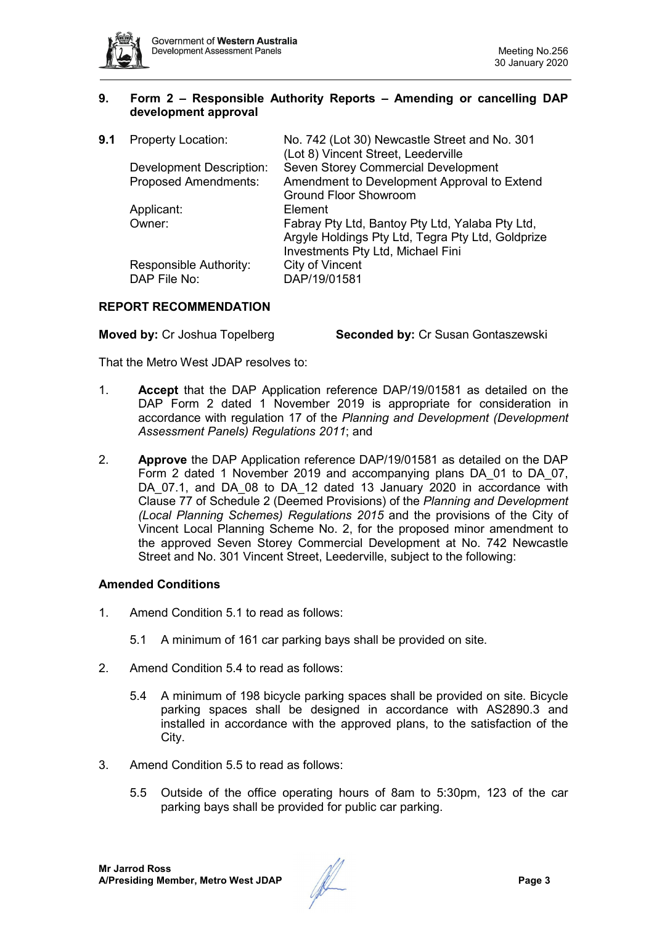

### **9. Form 2 – Responsible Authority Reports – Amending or cancelling DAP development approval**

| 9.1 | <b>Property Location:</b>              | No. 742 (Lot 30) Newcastle Street and No. 301<br>(Lot 8) Vincent Street, Leederville                                                      |
|-----|----------------------------------------|-------------------------------------------------------------------------------------------------------------------------------------------|
|     | <b>Development Description:</b>        | Seven Storey Commercial Development                                                                                                       |
|     | <b>Proposed Amendments:</b>            | Amendment to Development Approval to Extend                                                                                               |
|     |                                        | <b>Ground Floor Showroom</b>                                                                                                              |
|     | Applicant:                             | Element                                                                                                                                   |
|     | Owner:                                 | Fabray Pty Ltd, Bantoy Pty Ltd, Yalaba Pty Ltd,<br>Argyle Holdings Pty Ltd, Tegra Pty Ltd, Goldprize<br>Investments Pty Ltd, Michael Fini |
|     | Responsible Authority:<br>DAP File No: | City of Vincent<br>DAP/19/01581                                                                                                           |

# **REPORT RECOMMENDATION**

**Moved by:** Cr Joshua Topelberg **Seconded by:** Cr Susan Gontaszewski

That the Metro West JDAP resolves to:

- 1. **Accept** that the DAP Application reference DAP/19/01581 as detailed on the DAP Form 2 dated 1 November 2019 is appropriate for consideration in accordance with regulation 17 of the *Planning and Development (Development Assessment Panels) Regulations 2011*; and
- 2. **Approve** the DAP Application reference DAP/19/01581 as detailed on the DAP Form 2 dated 1 November 2019 and accompanying plans DA\_01 to DA\_07, DA\_07.1, and DA\_08 to DA\_12 dated 13 January 2020 in accordance with Clause 77 of Schedule 2 (Deemed Provisions) of the *Planning and Development (Local Planning Schemes) Regulations 2015* and the provisions of the City of Vincent Local Planning Scheme No. 2, for the proposed minor amendment to the approved Seven Storey Commercial Development at No. 742 Newcastle Street and No. 301 Vincent Street, Leederville, subject to the following:

### **Amended Conditions**

- 1. Amend Condition 5.1 to read as follows:
	- 5.1 A minimum of 161 car parking bays shall be provided on site.
- 2. Amend Condition 5.4 to read as follows:
	- 5.4 A minimum of 198 bicycle parking spaces shall be provided on site. Bicycle parking spaces shall be designed in accordance with AS2890.3 and installed in accordance with the approved plans, to the satisfaction of the City.
- 3. Amend Condition 5.5 to read as follows:
	- 5.5 Outside of the office operating hours of 8am to 5:30pm, 123 of the car parking bays shall be provided for public car parking.

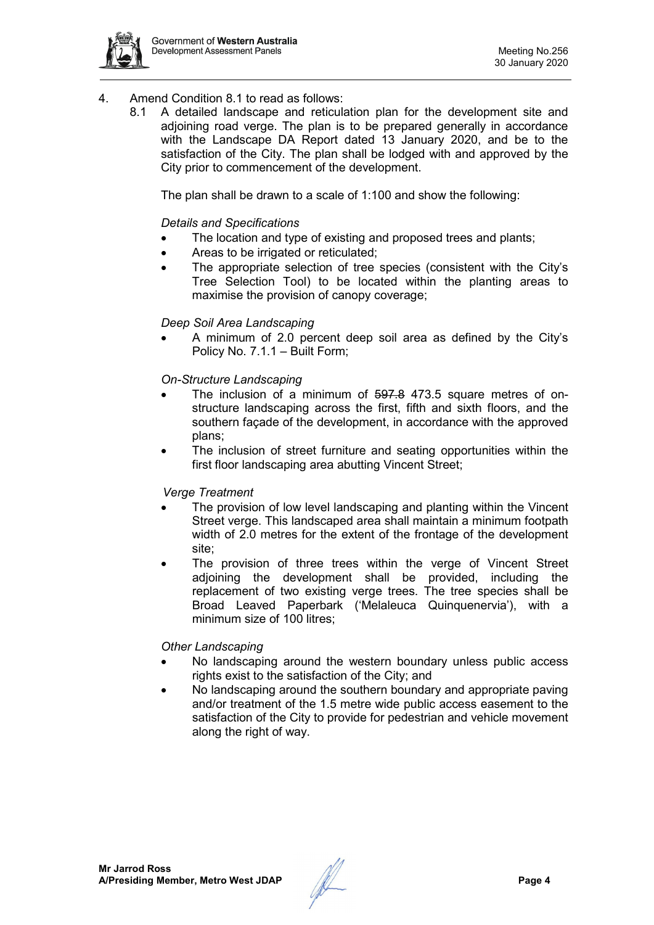

- 4. Amend Condition 8.1 to read as follows:
	- 8.1 A detailed landscape and reticulation plan for the development site and adjoining road verge. The plan is to be prepared generally in accordance with the Landscape DA Report dated 13 January 2020, and be to the satisfaction of the City. The plan shall be lodged with and approved by the City prior to commencement of the development.

The plan shall be drawn to a scale of 1:100 and show the following:

### *Details and Specifications*

- The location and type of existing and proposed trees and plants;
- Areas to be irrigated or reticulated;
- The appropriate selection of tree species (consistent with the City's Tree Selection Tool) to be located within the planting areas to maximise the provision of canopy coverage;

#### *Deep Soil Area Landscaping*

• A minimum of 2.0 percent deep soil area as defined by the City's Policy No. 7.1.1 – Built Form;

#### *On-Structure Landscaping*

- The inclusion of a minimum of 597.8 473.5 square metres of onstructure landscaping across the first, fifth and sixth floors, and the southern façade of the development, in accordance with the approved plans;
- The inclusion of street furniture and seating opportunities within the first floor landscaping area abutting Vincent Street;

#### *Verge Treatment*

- The provision of low level landscaping and planting within the Vincent Street verge. This landscaped area shall maintain a minimum footpath width of 2.0 metres for the extent of the frontage of the development site;
- The provision of three trees within the verge of Vincent Street adjoining the development shall be provided, including the replacement of two existing verge trees. The tree species shall be Broad Leaved Paperbark ('Melaleuca Quinquenervia'), with a minimum size of 100 litres;

#### *Other Landscaping*

- No landscaping around the western boundary unless public access rights exist to the satisfaction of the City; and
- No landscaping around the southern boundary and appropriate paving and/or treatment of the 1.5 metre wide public access easement to the satisfaction of the City to provide for pedestrian and vehicle movement along the right of way.

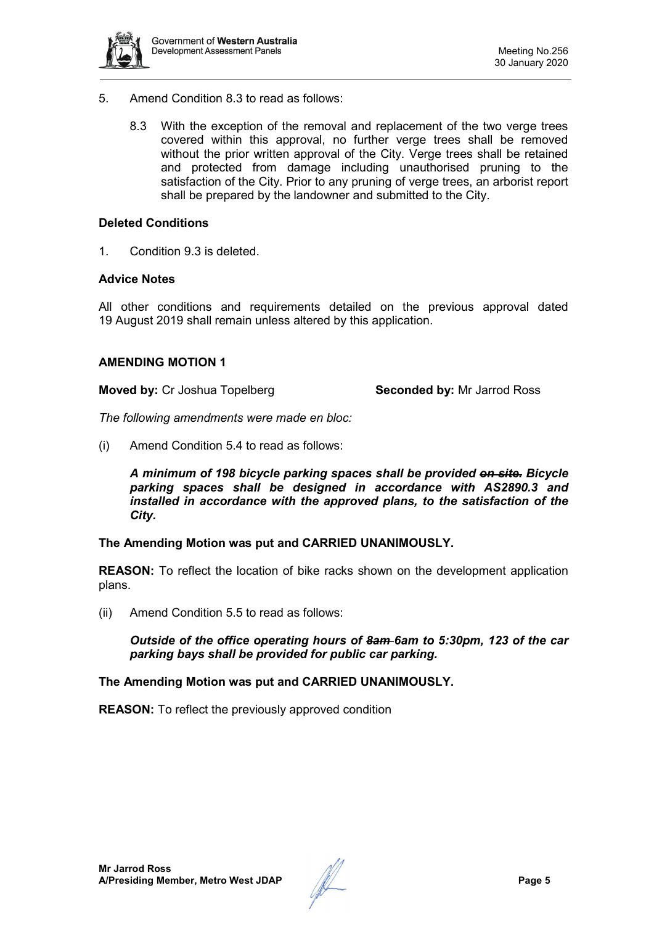

- 5. Amend Condition 8.3 to read as follows:
	- 8.3 With the exception of the removal and replacement of the two verge trees covered within this approval, no further verge trees shall be removed without the prior written approval of the City. Verge trees shall be retained and protected from damage including unauthorised pruning to the satisfaction of the City. Prior to any pruning of verge trees, an arborist report shall be prepared by the landowner and submitted to the City.

#### **Deleted Conditions**

1. Condition 9.3 is deleted.

#### **Advice Notes**

All other conditions and requirements detailed on the previous approval dated 19 August 2019 shall remain unless altered by this application.

#### **AMENDING MOTION 1**

**Moved by:** Cr Joshua Topelberg **Seconded by:** Mr Jarrod Ross

*The following amendments were made en bloc:* 

(i) Amend Condition 5.4 to read as follows:

*A minimum of 198 bicycle parking spaces shall be provided on site. Bicycle parking spaces shall be designed in accordance with AS2890.3 and installed in accordance with the approved plans, to the satisfaction of the City.*

#### **The Amending Motion was put and CARRIED UNANIMOUSLY.**

**REASON:** To reflect the location of bike racks shown on the development application plans.

(ii) Amend Condition 5.5 to read as follows:

*Outside of the office operating hours of 8am 6am to 5:30pm, 123 of the car parking bays shall be provided for public car parking.* 

**The Amending Motion was put and CARRIED UNANIMOUSLY.** 

**REASON:** To reflect the previously approved condition

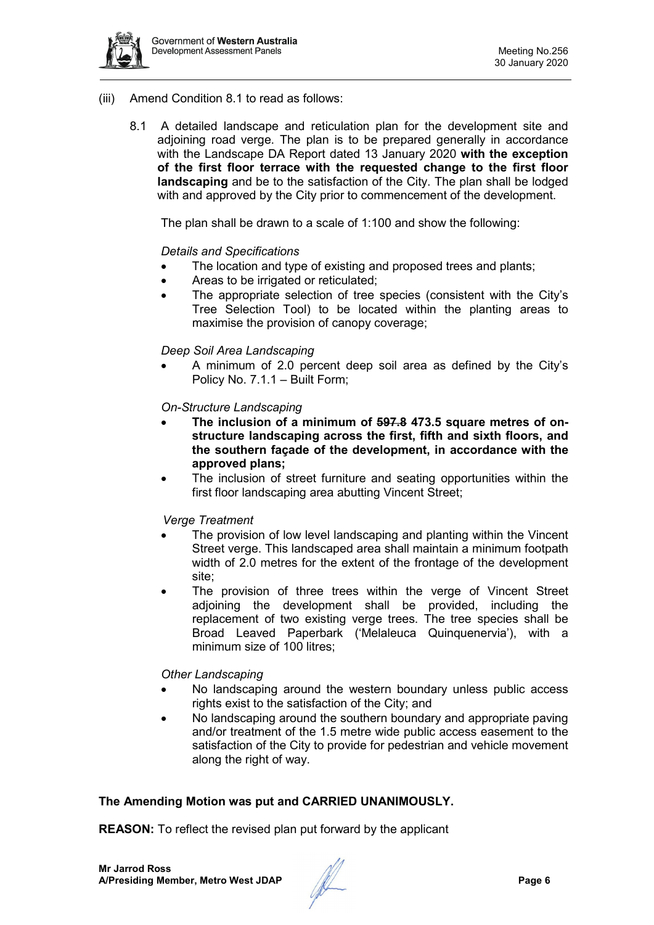

- (iii) Amend Condition 8.1 to read as follows:
	- 8.1 A detailed landscape and reticulation plan for the development site and adjoining road verge. The plan is to be prepared generally in accordance with the Landscape DA Report dated 13 January 2020 **with the exception of the first floor terrace with the requested change to the first floor landscaping** and be to the satisfaction of the City. The plan shall be lodged with and approved by the City prior to commencement of the development.

The plan shall be drawn to a scale of 1:100 and show the following:

#### *Details and Specifications*

- The location and type of existing and proposed trees and plants;
- Areas to be irrigated or reticulated;
- The appropriate selection of tree species (consistent with the City's Tree Selection Tool) to be located within the planting areas to maximise the provision of canopy coverage;

#### *Deep Soil Area Landscaping*

• A minimum of 2.0 percent deep soil area as defined by the City's Policy No. 7.1.1 – Built Form;

#### *On-Structure Landscaping*

- **The inclusion of a minimum of 597.8 473.5 square metres of onstructure landscaping across the first, fifth and sixth floors, and the southern façade of the development, in accordance with the approved plans;**
- The inclusion of street furniture and seating opportunities within the first floor landscaping area abutting Vincent Street;

#### *Verge Treatment*

- The provision of low level landscaping and planting within the Vincent Street verge. This landscaped area shall maintain a minimum footpath width of 2.0 metres for the extent of the frontage of the development site;
- The provision of three trees within the verge of Vincent Street adjoining the development shall be provided, including the replacement of two existing verge trees. The tree species shall be Broad Leaved Paperbark ('Melaleuca Quinquenervia'), with a minimum size of 100 litres;

#### *Other Landscaping*

- No landscaping around the western boundary unless public access rights exist to the satisfaction of the City; and
- No landscaping around the southern boundary and appropriate paving and/or treatment of the 1.5 metre wide public access easement to the satisfaction of the City to provide for pedestrian and vehicle movement along the right of way.

### **The Amending Motion was put and CARRIED UNANIMOUSLY.**

**REASON:** To reflect the revised plan put forward by the applicant

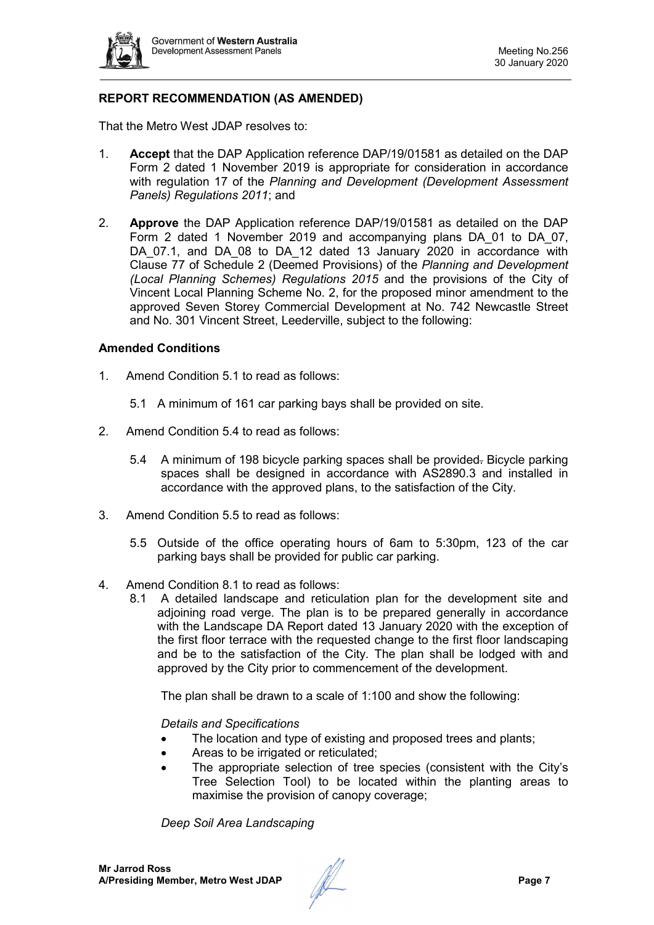

# **REPORT RECOMMENDATION (AS AMENDED)**

That the Metro West JDAP resolves to:

- 1. **Accept** that the DAP Application reference DAP/19/01581 as detailed on the DAP Form 2 dated 1 November 2019 is appropriate for consideration in accordance with regulation 17 of the *Planning and Development (Development Assessment Panels) Regulations 2011*; and
- 2. **Approve** the DAP Application reference DAP/19/01581 as detailed on the DAP Form 2 dated 1 November 2019 and accompanying plans DA\_01 to DA\_07, DA 07.1, and DA 08 to DA 12 dated 13 January 2020 in accordance with Clause 77 of Schedule 2 (Deemed Provisions) of the *Planning and Development (Local Planning Schemes) Regulations 2015* and the provisions of the City of Vincent Local Planning Scheme No. 2, for the proposed minor amendment to the approved Seven Storey Commercial Development at No. 742 Newcastle Street and No. 301 Vincent Street, Leederville, subject to the following:

#### **Amended Conditions**

- 1. Amend Condition 5.1 to read as follows:
	- 5.1 A minimum of 161 car parking bays shall be provided on site.
- 2. Amend Condition 5.4 to read as follows:
	- 5.4 A minimum of 198 bicycle parking spaces shall be provided. Bicycle parking spaces shall be designed in accordance with AS2890.3 and installed in accordance with the approved plans, to the satisfaction of the City.
- 3. Amend Condition 5.5 to read as follows:
	- 5.5 Outside of the office operating hours of 6am to 5:30pm, 123 of the car parking bays shall be provided for public car parking.
- 4. Amend Condition 8.1 to read as follows:
	- 8.1 A detailed landscape and reticulation plan for the development site and adjoining road verge. The plan is to be prepared generally in accordance with the Landscape DA Report dated 13 January 2020 with the exception of the first floor terrace with the requested change to the first floor landscaping and be to the satisfaction of the City. The plan shall be lodged with and approved by the City prior to commencement of the development.

The plan shall be drawn to a scale of 1:100 and show the following:

*Details and Specifications*

- The location and type of existing and proposed trees and plants;
- Areas to be irrigated or reticulated:
- The appropriate selection of tree species (consistent with the City's Tree Selection Tool) to be located within the planting areas to maximise the provision of canopy coverage;

*Deep Soil Area Landscaping*

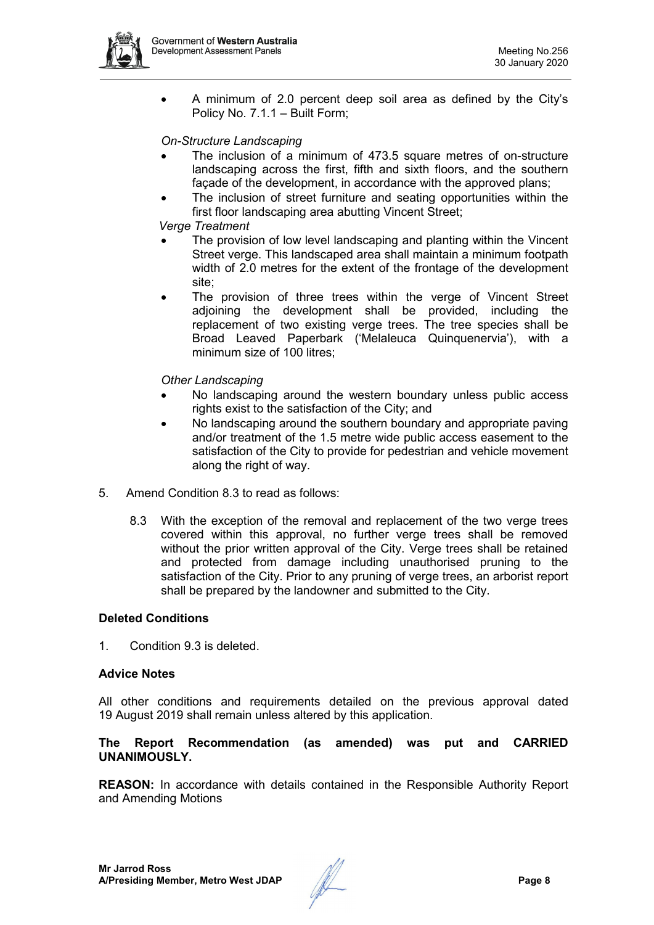

• A minimum of 2.0 percent deep soil area as defined by the City's Policy No. 7.1.1 – Built Form;

#### *On-Structure Landscaping*

- The inclusion of a minimum of 473.5 square metres of on-structure landscaping across the first, fifth and sixth floors, and the southern façade of the development, in accordance with the approved plans;
- The inclusion of street furniture and seating opportunities within the first floor landscaping area abutting Vincent Street;

#### *Verge Treatment*

- The provision of low level landscaping and planting within the Vincent Street verge. This landscaped area shall maintain a minimum footpath width of 2.0 metres for the extent of the frontage of the development site;
- The provision of three trees within the verge of Vincent Street adjoining the development shall be provided, including the replacement of two existing verge trees. The tree species shall be Broad Leaved Paperbark ('Melaleuca Quinquenervia'), with a minimum size of 100 litres;

#### *Other Landscaping*

- No landscaping around the western boundary unless public access rights exist to the satisfaction of the City; and
- No landscaping around the southern boundary and appropriate paving and/or treatment of the 1.5 metre wide public access easement to the satisfaction of the City to provide for pedestrian and vehicle movement along the right of way.
- 5. Amend Condition 8.3 to read as follows:
	- 8.3 With the exception of the removal and replacement of the two verge trees covered within this approval, no further verge trees shall be removed without the prior written approval of the City. Verge trees shall be retained and protected from damage including unauthorised pruning to the satisfaction of the City. Prior to any pruning of verge trees, an arborist report shall be prepared by the landowner and submitted to the City.

#### **Deleted Conditions**

1. Condition 9.3 is deleted.

#### **Advice Notes**

All other conditions and requirements detailed on the previous approval dated 19 August 2019 shall remain unless altered by this application.

#### **The Report Recommendation (as amended) was put and CARRIED UNANIMOUSLY.**

**REASON:** In accordance with details contained in the Responsible Authority Report and Amending Motions